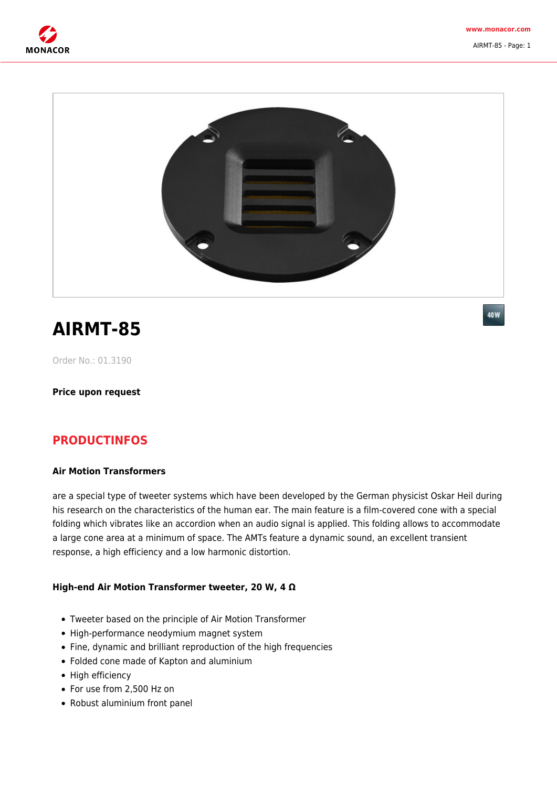

AIRMT-85 - Page: 1



# **AIRMT-85**

40W

Order No.: 01.3190

**Price upon request**

## **PRODUCTINFOS**

#### **Air Motion Transformers**

are a special type of tweeter systems which have been developed by the German physicist Oskar Heil during his research on the characteristics of the human ear. The main feature is a film-covered cone with a special folding which vibrates like an accordion when an audio signal is applied. This folding allows to accommodate a large cone area at a minimum of space. The AMTs feature a dynamic sound, an excellent transient response, a high efficiency and a low harmonic distortion.

#### **High-end Air Motion Transformer tweeter, 20 W, 4 Ω**

- Tweeter based on the principle of Air Motion Transformer
- High-performance neodymium magnet system
- Fine, dynamic and brilliant reproduction of the high frequencies
- Folded cone made of Kapton and aluminium
- High efficiency
- For use from 2,500 Hz on
- Robust aluminium front panel